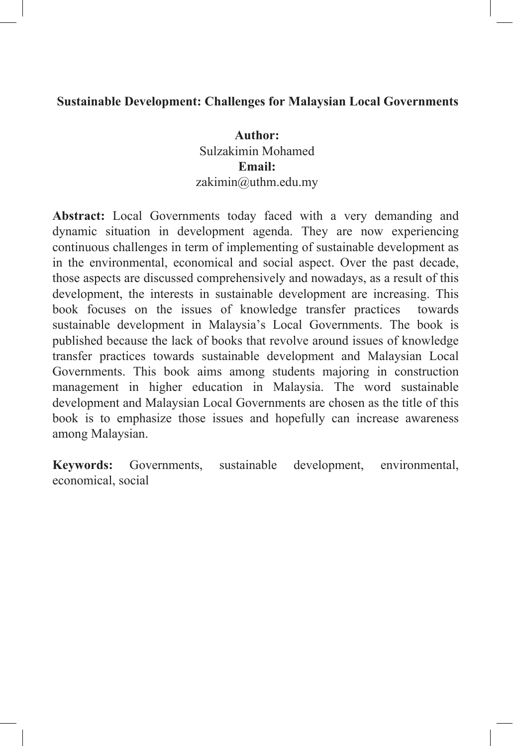#### **Sustainable Development: Challenges for Malaysian Local Governments**

**Author:**  Sulzakimin Mohamed **Email:** zakimin@uthm.edu.my

**Abstract:** Local Governments today faced with a very demanding and dynamic situation in development agenda. They are now experiencing continuous challenges in term of implementing of sustainable development as in the environmental, economical and social aspect. Over the past decade, those aspects are discussed comprehensively and nowadays, as a result of this development, the interests in sustainable development are increasing. This book focuses on the issues of knowledge transfer practices towards sustainable development in Malaysia's Local Governments. The book is published because the lack of books that revolve around issues of knowledge transfer practices towards sustainable development and Malaysian Local Governments. This book aims among students majoring in construction management in higher education in Malaysia. The word sustainable development and Malaysian Local Governments are chosen as the title of this book is to emphasize those issues and hopefully can increase awareness among Malaysian.

**Keywords:** Governments, sustainable development, environmental, economical, social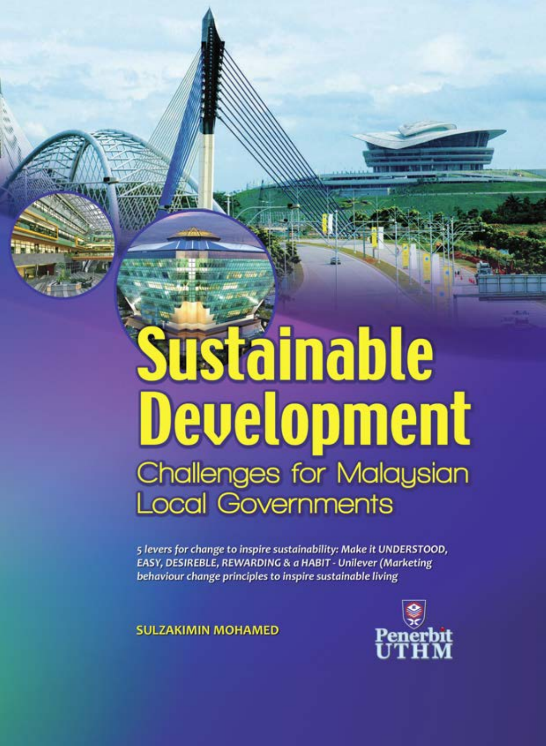# **Sustainable Development** Challenges for Malaysian **Local Governments**

5 levers for change to inspire sustainability: Make it UNDERSTOOD, EASY, DESIREBLE, REWARDING & a HABIT - Unilever (Marketing behaviour change principles to inspire sustainable living

**SULZAKIMIN MOHAMED** 

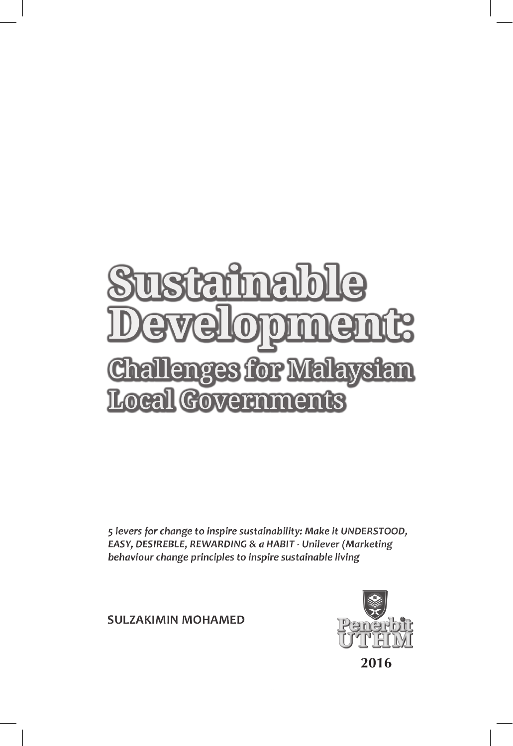# ma  $\mathbf{Q}$ F **Challenges for Malaysian** Local Govern ments

5 levers for change to inspire sustainability: Make it UNDERSTOOD, EASY, DESIREBLE, REWARDING & a HABIT - Unilever (Marketing behaviour change principles to inspire sustainable living

**SULZAKIMIN MOHAMED** 

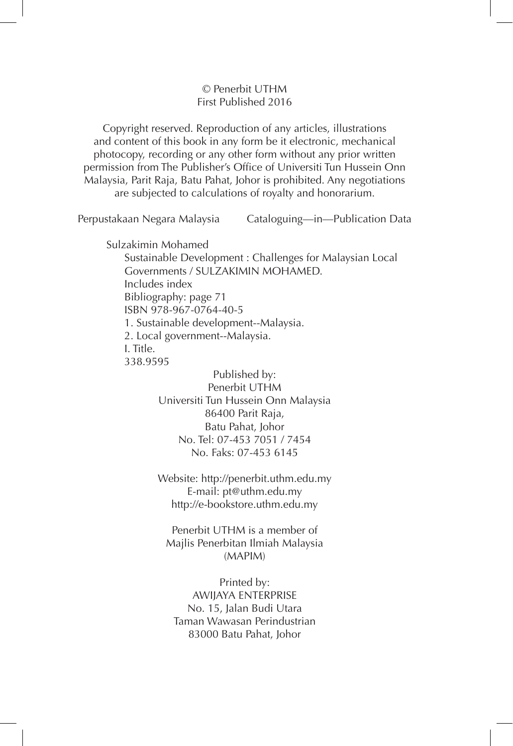#### © Penerbit UTHM First Published 2016

Copyright reserved. Reproduction of any articles, illustrations and content of this book in any form be it electronic, mechanical photocopy, recording or any other form without any prior written permission from The Publisher's Office of Universiti Tun Hussein Onn Malaysia, Parit Raja, Batu Pahat, Johor is prohibited. Any negotiations are subjected to calculations of royalty and honorarium.

Perpustakaan Negara Malaysia Cataloguing—in—Publication Data

Sulzakimin Mohamed

 Sustainable Development : Challenges for Malaysian Local Governments / SULZAKIMIN MOHAMED. Includes index Bibliography: page 71 ISBN 978-967-0764-40-5 1. Sustainable development--Malaysia. 2. Local government--Malaysia. I. Title. 338.9595

> Published by: Penerbit UTHM Universiti Tun Hussein Onn Malaysia 86400 Parit Raja, Batu Pahat, Johor No. Tel: 07-453 7051 / 7454 No. Faks: 07-453 6145

> Website: http://penerbit.uthm.edu.my E-mail: pt@uthm.edu.my http://e-bookstore.uthm.edu.my

Penerbit UTHM is a member of Majlis Penerbitan Ilmiah Malaysia (MAPIM)

Printed by: AWIJAYA ENTERPRISE No. 15, Jalan Budi Utara Taman Wawasan Perindustrian 83000 Batu Pahat, Johor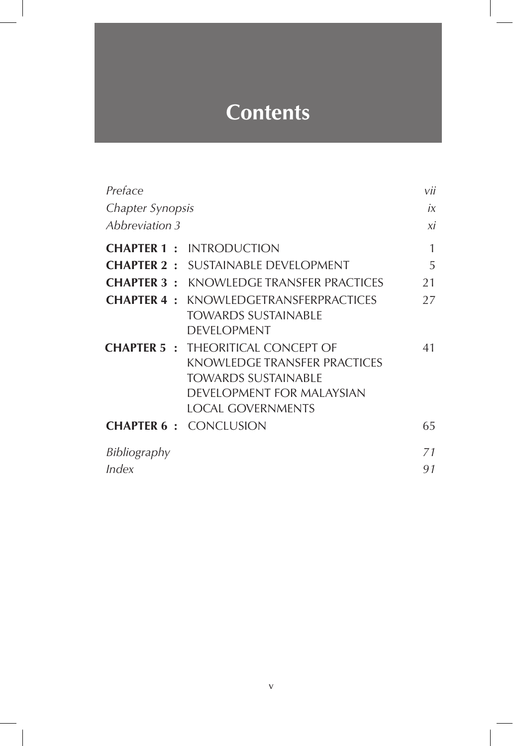# **Contents**

| Preface          |                                                                                                                                                                 | vii |
|------------------|-----------------------------------------------------------------------------------------------------------------------------------------------------------------|-----|
| Chapter Synopsis |                                                                                                                                                                 | İX  |
| Abbreviation 3   |                                                                                                                                                                 | хi  |
|                  | <b>CHAPTER 1 : INTRODUCTION</b>                                                                                                                                 | 1   |
|                  | <b>CHAPTER 2 : SUSTAINABLE DEVELOPMENT</b>                                                                                                                      | 5   |
|                  | <b>CHAPTER 3: KNOWLEDGE TRANSFER PRACTICES</b>                                                                                                                  | 21  |
|                  | <b>CHAPTER 4 : KNOWLEDGETRANSFERPRACTICES</b><br><b>TOWARDS SUSTAINABLE</b><br><b>DEVELOPMENT</b>                                                               | 27  |
|                  | <b>CHAPTER 5: THEORITICAL CONCEPT OF</b><br>KNOWLEDGE TRANSFER PRACTICES<br><b>TOWARDS SUSTAINABLE</b><br>DEVELOPMENT FOR MALAYSIAN<br><b>LOCAL GOVERNMENTS</b> | 41  |
|                  | <b>CHAPTER 6 : CONCLUSION</b>                                                                                                                                   | 65  |
| Bibliography     |                                                                                                                                                                 | 71  |
| Index            |                                                                                                                                                                 | 91  |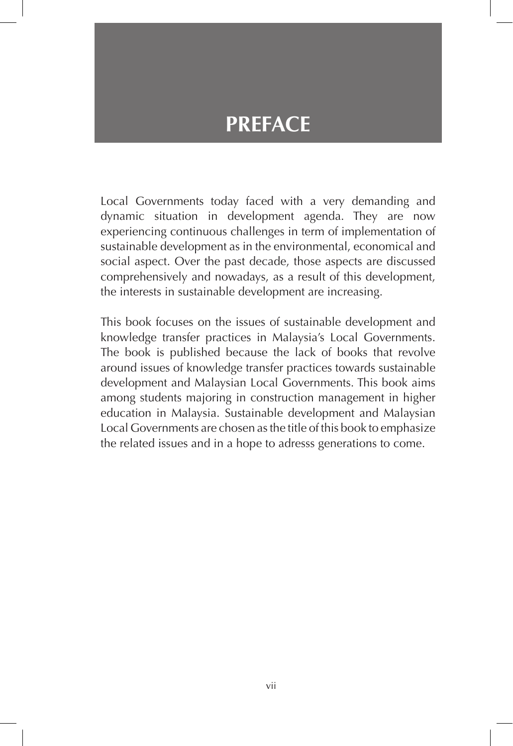# **PREFACE**

Local Governments today faced with a very demanding and dynamic situation in development agenda. They are now experiencing continuous challenges in term of implementation of sustainable development as in the environmental, economical and social aspect. Over the past decade, those aspects are discussed comprehensively and nowadays, as a result of this development, the interests in sustainable development are increasing.

This book focuses on the issues of sustainable development and knowledge transfer practices in Malaysia's Local Governments. The book is published because the lack of books that revolve around issues of knowledge transfer practices towards sustainable development and Malaysian Local Governments. This book aims among students majoring in construction management in higher education in Malaysia. Sustainable development and Malaysian Local Governments are chosen as the title of this book to emphasize the related issues and in a hope to adresss generations to come.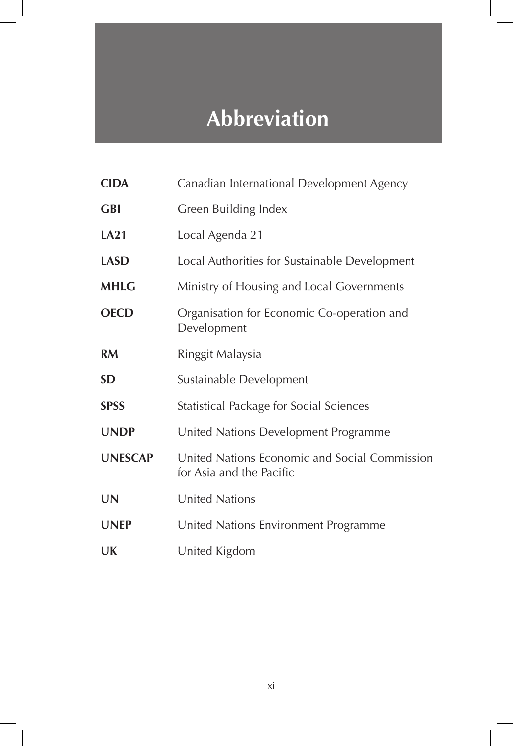# **Abbreviation**

| <b>CIDA</b>    | Canadian International Development Agency                                 |
|----------------|---------------------------------------------------------------------------|
| <b>GBI</b>     | Green Building Index                                                      |
| <b>LA21</b>    | Local Agenda 21                                                           |
| <b>LASD</b>    | Local Authorities for Sustainable Development                             |
| <b>MHLG</b>    | Ministry of Housing and Local Governments                                 |
| <b>OECD</b>    | Organisation for Economic Co-operation and<br>Development                 |
| <b>RM</b>      | Ringgit Malaysia                                                          |
| <b>SD</b>      | Sustainable Development                                                   |
| <b>SPSS</b>    | Statistical Package for Social Sciences                                   |
| <b>UNDP</b>    | United Nations Development Programme                                      |
| <b>UNESCAP</b> | United Nations Economic and Social Commission<br>for Asia and the Pacific |
| <b>UN</b>      | <b>United Nations</b>                                                     |
| <b>UNEP</b>    | United Nations Environment Programme                                      |
| UK             | United Kigdom                                                             |

 $\overline{\phantom{a}}$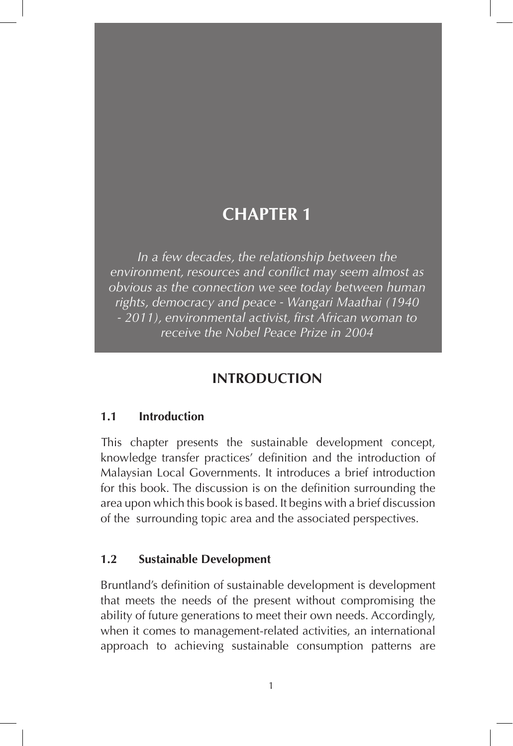*In a few decades, the relationship between the environment, resources and conflict may seem almost as obvious as the connection we see today between human rights, democracy and peace - Wangari Maathai (1940 - 2011), environmental activist, first African woman to receive the Nobel Peace Prize in 2004* 

#### **INTRODUCTION**

#### **1.1 Introduction**

This chapter presents the sustainable development concept, knowledge transfer practices' definition and the introduction of Malaysian Local Governments. It introduces a brief introduction for this book. The discussion is on the definition surrounding the area upon which this book is based. It begins with a brief discussion of the surrounding topic area and the associated perspectives.

#### **1.2 Sustainable Development**

Bruntland's definition of sustainable development is development that meets the needs of the present without compromising the ability of future generations to meet their own needs. Accordingly, when it comes to management-related activities, an international approach to achieving sustainable consumption patterns are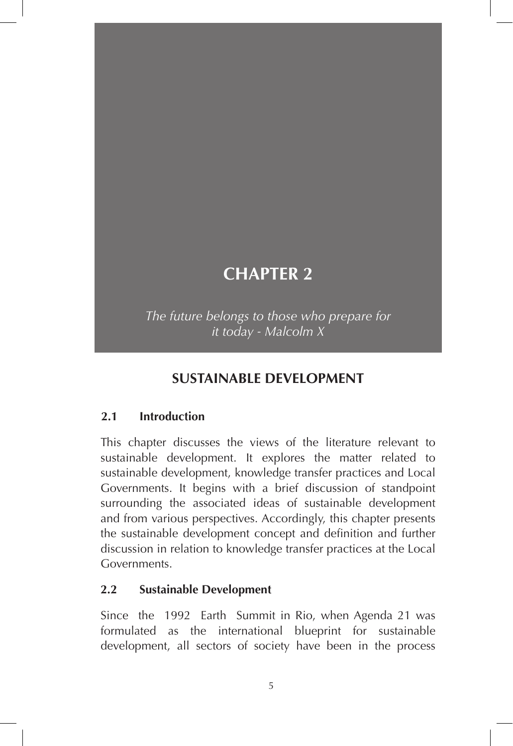*The future belongs to those who prepare for it today - Malcolm X*

#### **SUSTAINABLE DEVELOPMENT**

#### **2.1 Introduction**

This chapter discusses the views of the literature relevant to sustainable development. It explores the matter related to sustainable development, knowledge transfer practices and Local Governments. It begins with a brief discussion of standpoint surrounding the associated ideas of sustainable development and from various perspectives. Accordingly, this chapter presents the sustainable development concept and definition and further discussion in relation to knowledge transfer practices at the Local Governments.

#### **2.2 Sustainable Development**

Since the 1992 Earth Summit in Rio, when Agenda 21 was formulated as the international blueprint for sustainable development, all sectors of society have been in the process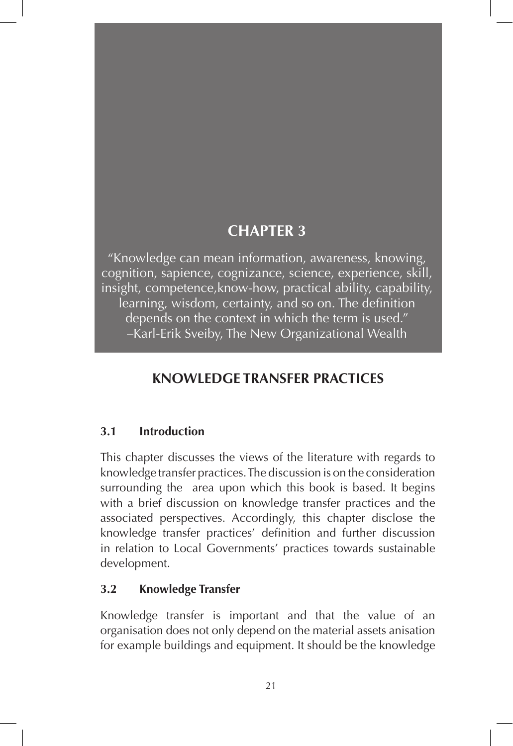"Knowledge can mean information, awareness, knowing, cognition, sapience, cognizance, science, experience, skill, insight, competence,know-how, practical ability, capability, learning, wisdom, certainty, and so on. The definition depends on the context in which the term is used." –Karl-Erik Sveiby, The New Organizational Wealth

### **KNOWLEDGE TRANSFER PRACTICES**

#### **3.1 Introduction**

This chapter discusses the views of the literature with regards to knowledge transfer practices. The discussion is on the consideration surrounding the area upon which this book is based. It begins with a brief discussion on knowledge transfer practices and the associated perspectives. Accordingly, this chapter disclose the knowledge transfer practices' definition and further discussion in relation to Local Governments' practices towards sustainable development.

#### **3.2 Knowledge Transfer**

Knowledge transfer is important and that the value of an organisation does not only depend on the material assets anisation for example buildings and equipment. It should be the knowledge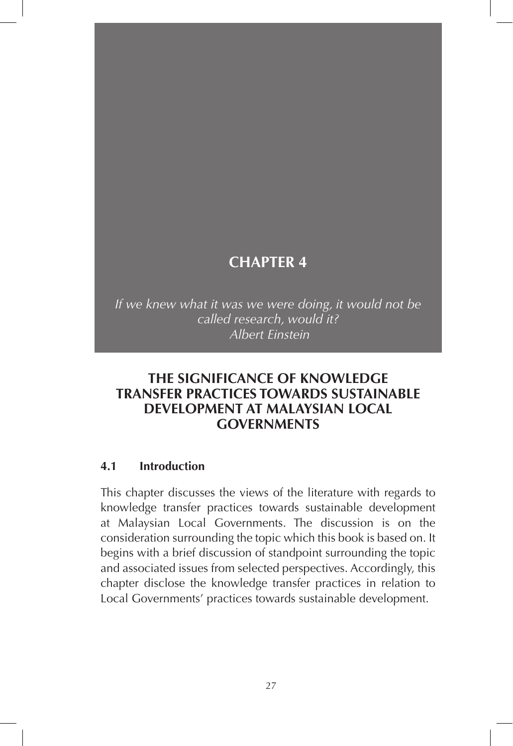*If we knew what it was we were doing, it would not be called research, would it? Albert Einstein* 

#### **THE SIGNIFICANCE OF KNOWLEDGE TRANSFER PRACTICES TOWARDS SUSTAINABLE DEVELOPMENT AT MALAYSIAN LOCAL GOVERNMENTS**

#### **4.1 Introduction**

This chapter discusses the views of the literature with regards to knowledge transfer practices towards sustainable development at Malaysian Local Governments. The discussion is on the consideration surrounding the topic which this book is based on. It begins with a brief discussion of standpoint surrounding the topic and associated issues from selected perspectives. Accordingly, this chapter disclose the knowledge transfer practices in relation to Local Governments' practices towards sustainable development.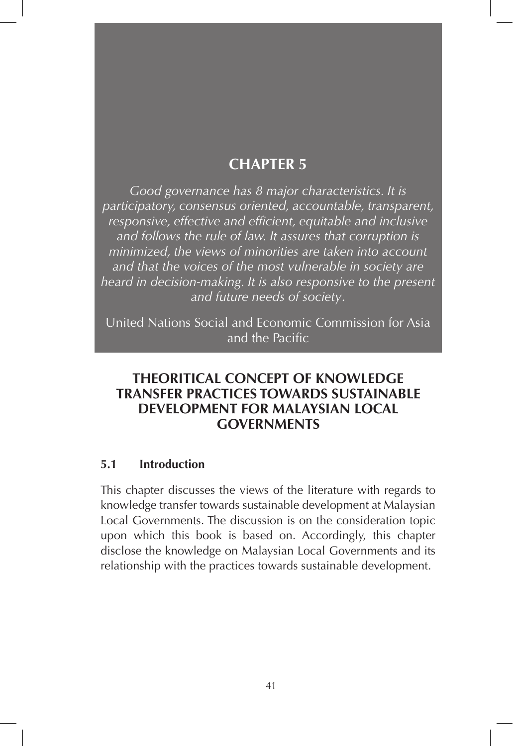*Good governance has 8 major characteristics. It is participatory, consensus oriented, accountable, transparent, responsive, effective and efficient, equitable and inclusive and follows the rule of law. It assures that corruption is minimized, the views of minorities are taken into account and that the voices of the most vulnerable in society are heard in decision-making. It is also responsive to the present and future needs of society*.

United Nations Social and Economic Commission for Asia and the Pacific

#### **THEORITICAL CONCEPT OF KNOWLEDGE TRANSFER PRACTICES TOWARDS SUSTAINABLE DEVELOPMENT FOR MALAYSIAN LOCAL GOVERNMENTS**

#### **5.1 Introduction**

This chapter discusses the views of the literature with regards to knowledge transfer towards sustainable development at Malaysian Local Governments. The discussion is on the consideration topic upon which this book is based on. Accordingly, this chapter disclose the knowledge on Malaysian Local Governments and its relationship with the practices towards sustainable development.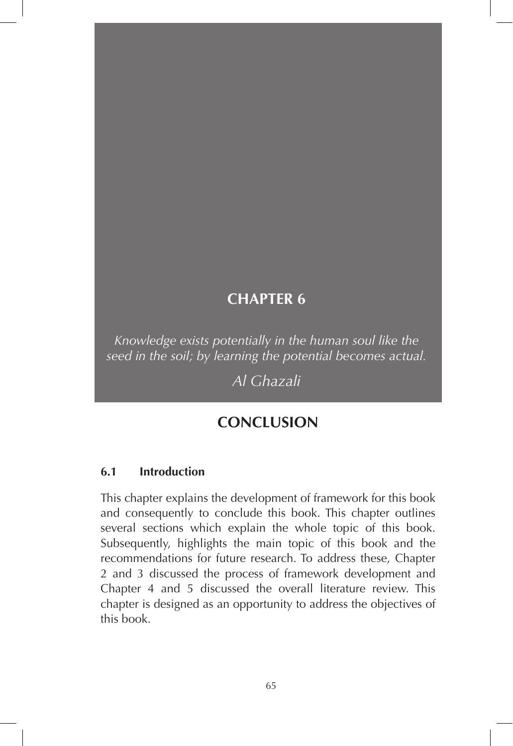*Knowledge exists potentially in the human soul like the seed in the soil; by learning the potential becomes actual.*

*Al Ghazali*

### **CONCLUSION**

#### **6.1 Introduction**

This chapter explains the development of framework for this book and consequently to conclude this book. This chapter outlines several sections which explain the whole topic of this book. Subsequently, highlights the main topic of this book and the recommendations for future research. To address these, Chapter 2 and 3 discussed the process of framework development and Chapter 4 and 5 discussed the overall literature review. This chapter is designed as an opportunity to address the objectives of this book.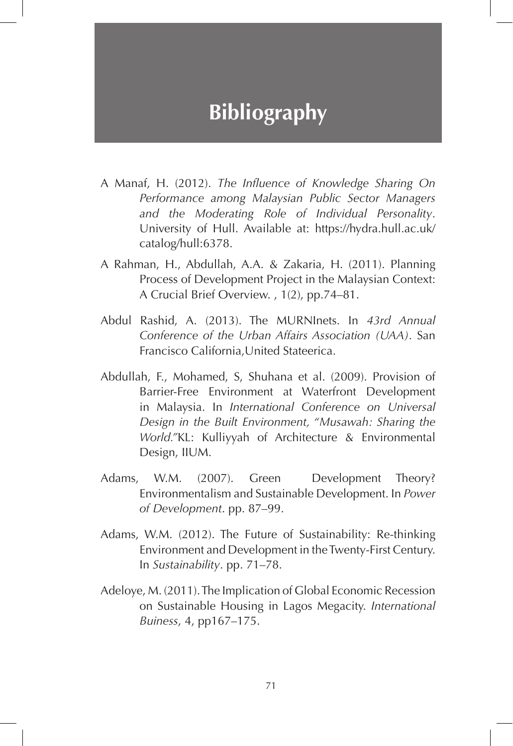# **Bibliography**

- A Manaf, H. (2012). *The Influence of Knowledge Sharing On Performance among Malaysian Public Sector Managers and the Moderating Role of Individual Personality*. University of Hull. Available at: https://hydra.hull.ac.uk/ catalog/hull:6378.
- A Rahman, H., Abdullah, A.A. & Zakaria, H. (2011). Planning Process of Development Project in the Malaysian Context: A Crucial Brief Overview. , 1(2), pp.74–81.
- Abdul Rashid, A. (2013). The MURNInets. In *43rd Annual Conference of the Urban Affairs Association (UAA)*. San Francisco California,United Stateerica.
- Abdullah, F., Mohamed, S, Shuhana et al. (2009). Provision of Barrier-Free Environment at Waterfront Development in Malaysia. In *International Conference on Universal Design in the Built Environment, "Musawah: Sharing the World."*KL: Kulliyyah of Architecture & Environmental Design, IIUM.
- Adams, W.M. (2007). Green Development Theory? Environmentalism and Sustainable Development. In *Power of Development*. pp. 87–99.
- Adams, W.M. (2012). The Future of Sustainability: Re-thinking Environment and Development in the Twenty-First Century. In *Sustainability*. pp. 71–78.
- Adeloye, M. (2011). The Implication of Global Economic Recession on Sustainable Housing in Lagos Megacity. *International Buiness*, 4, pp167–175.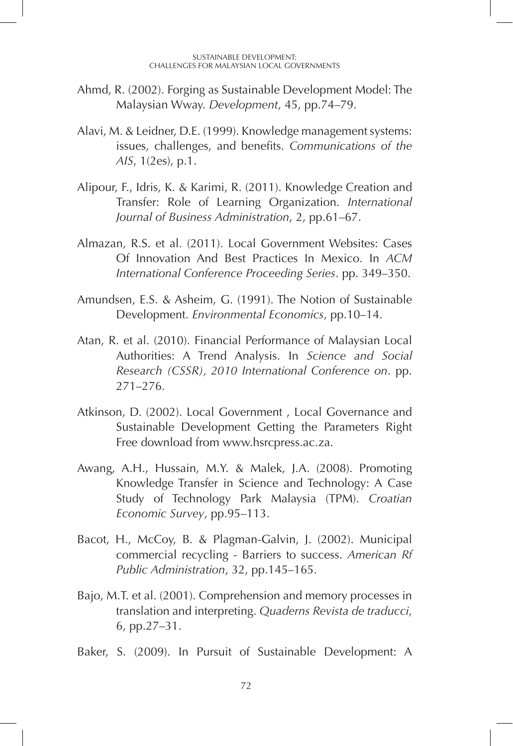- Ahmd, R. (2002). Forging as Sustainable Development Model: The Malaysian Wway. *Development*, 45, pp.74–79.
- Alavi, M. & Leidner, D.E. (1999). Knowledge management systems: issues, challenges, and benefits. *Communications of the AIS*, 1(2es), p.1.
- Alipour, F., Idris, K. & Karimi, R. (2011). Knowledge Creation and Transfer: Role of Learning Organization. *International Journal of Business Administration*, 2, pp.61–67.
- Almazan, R.S. et al. (2011). Local Government Websites: Cases Of Innovation And Best Practices In Mexico. In *ACM International Conference Proceeding Series*. pp. 349–350.
- Amundsen, E.S. & Asheim, G. (1991). The Notion of Sustainable Development. *Environmental Economics*, pp.10–14.
- Atan, R. et al. (2010). Financial Performance of Malaysian Local Authorities: A Trend Analysis. In *Science and Social Research (CSSR), 2010 International Conference on*. pp. 271–276.
- Atkinson, D. (2002). Local Government , Local Governance and Sustainable Development Getting the Parameters Right Free download from www.hsrcpress.ac.za.
- Awang, A.H., Hussain, M.Y. & Malek, J.A. (2008). Promoting Knowledge Transfer in Science and Technology: A Case Study of Technology Park Malaysia (TPM). *Croatian Economic Survey*, pp.95–113.
- Bacot, H., McCoy, B. & Plagman-Galvin, J. (2002). Municipal commercial recycling - Barriers to success. *American Rf Public Administration*, 32, pp.145–165.
- Bajo, M.T. et al. (2001). Comprehension and memory processes in translation and interpreting. *Quaderns Revista de traducci*, 6, pp.27–31.
- Baker, S. (2009). In Pursuit of Sustainable Development: A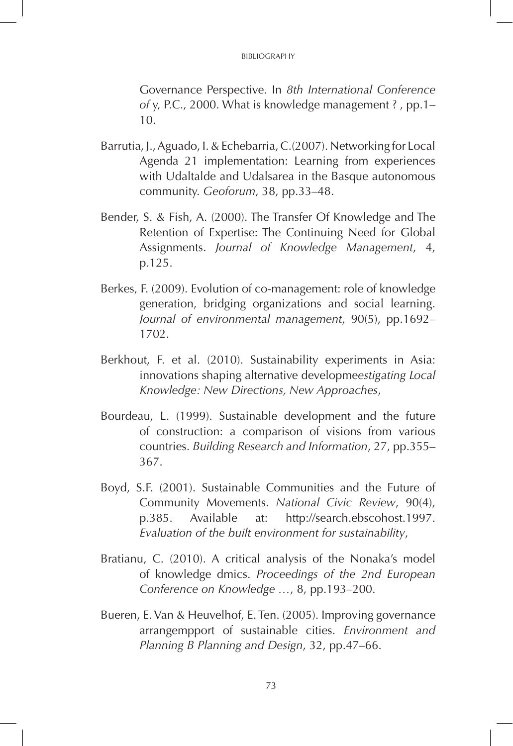#### BIBLIOGRAPHY

Governance Perspective. In *8th International Conference of* y, P.C., 2000. What is knowledge management ? , pp.1– 10.

- Barrutia, J., Aguado, I. & Echebarria, C.(2007). Networking for Local Agenda 21 implementation: Learning from experiences with Udaltalde and Udalsarea in the Basque autonomous community. *Geoforum*, 38, pp.33–48.
- Bender, S. & Fish, A. (2000). The Transfer Of Knowledge and The Retention of Expertise: The Continuing Need for Global Assignments. *Journal of Knowledge Management*, 4, p.125.
- Berkes, F. (2009). Evolution of co-management: role of knowledge generation, bridging organizations and social learning. *Journal of environmental management*, 90(5), pp.1692– 1702.
- Berkhout, F. et al. (2010). Sustainability experiments in Asia: innovations shaping alternative developme*estigating Local Knowledge: New Directions, New Approaches*,
- Bourdeau, L. (1999). Sustainable development and the future of construction: a comparison of visions from various countries. *Building Research and Information*, 27, pp.355– 367.
- Boyd, S.F. (2001). Sustainable Communities and the Future of Community Movements. *National Civic Review*, 90(4), p.385. Available at: http://search.ebscohost.1997. *Evaluation of the built environment for sustainability*,
- Bratianu, C. (2010). A critical analysis of the Nonaka's model of knowledge dmics. *Proceedings of the 2nd European Conference on Knowledge …*, 8, pp.193–200.
- Bueren, E. Van & Heuvelhof, E. Ten. (2005). Improving governance arrangempport of sustainable cities. *Environment and Planning B Planning and Design*, 32, pp.47–66.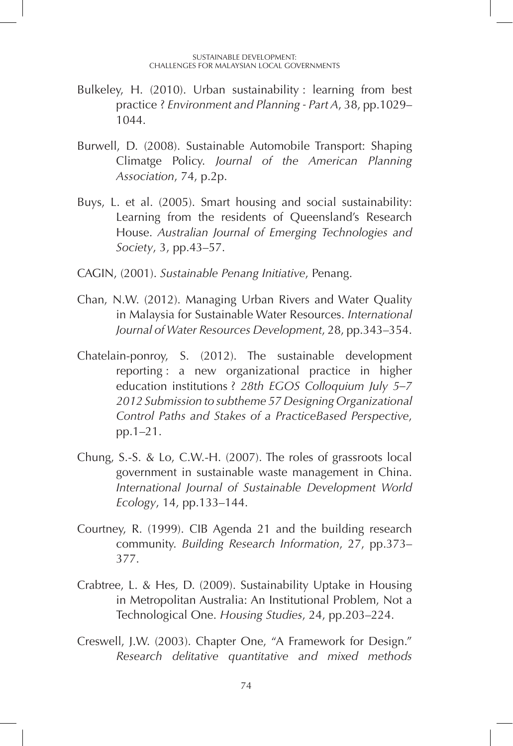- Bulkeley, H. (2010). Urban sustainability : learning from best practice ? *Environment and Planning - Part A*, 38, pp.1029– 1044.
- Burwell, D. (2008). Sustainable Automobile Transport: Shaping Climatge Policy. *Journal of the American Planning Association*, 74, p.2p.
- Buys, L. et al. (2005). Smart housing and social sustainability: Learning from the residents of Queensland's Research House. *Australian Journal of Emerging Technologies and Society*, 3, pp.43–57.
- CAGIN, (2001). *Sustainable Penang Initiative*, Penang.
- Chan, N.W. (2012). Managing Urban Rivers and Water Quality in Malaysia for Sustainable Water Resources. *International Journal of Water Resources Development*, 28, pp.343–354.
- Chatelain-ponroy, S. (2012). The sustainable development reporting : a new organizational practice in higher education institutions ? *28th EGOS Colloquium July 5–7 2012 Submission to subtheme 57 Designing Organizational Control Paths and Stakes of a PracticeBased Perspective*, pp.1–21.
- Chung, S.-S. & Lo, C.W.-H. (2007). The roles of grassroots local government in sustainable waste management in China. *International Journal of Sustainable Development World Ecology*, 14, pp.133–144.
- Courtney, R. (1999). CIB Agenda 21 and the building research community. *Building Research Information*, 27, pp.373– 377.
- Crabtree, L. & Hes, D. (2009). Sustainability Uptake in Housing in Metropolitan Australia: An Institutional Problem, Not a Technological One. *Housing Studies*, 24, pp.203–224.
- Creswell, J.W. (2003). Chapter One, "A Framework for Design." *Research delitative quantitative and mixed methods*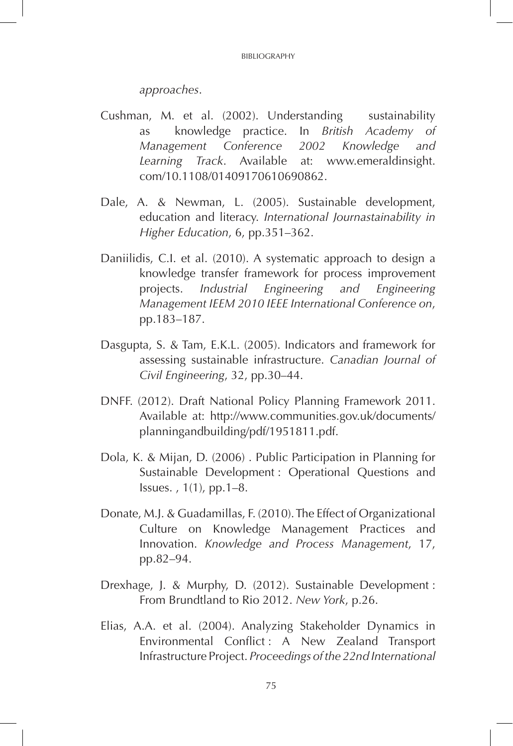*approaches*.

- Cushman, M. et al. (2002). Understanding sustainability as knowledge practice. In *British Academy of Management Conference 2002 Knowledge and Learning Track*. Available at: www.emeraldinsight. com/10.1108/01409170610690862.
- Dale, A. & Newman, L. (2005). Sustainable development, education and literacy. *International Journastainability in Higher Education*, 6, pp.351–362.
- Daniilidis, C.I. et al. (2010). A systematic approach to design a knowledge transfer framework for process improvement projects. *Industrial Engineering and Engineering Management IEEM 2010 IEEE International Conference on*, pp.183–187.
- Dasgupta, S. & Tam, E.K.L. (2005). Indicators and framework for assessing sustainable infrastructure. *Canadian Journal of Civil Engineering*, 32, pp.30–44.
- DNFF. (2012). Draft National Policy Planning Framework 2011. Available at: http://www.communities.gov.uk/documents/ planningandbuilding/pdf/1951811.pdf.
- Dola, K. & Mijan, D. (2006) . Public Participation in Planning for Sustainable Development : Operational Questions and Issues. , 1(1), pp.1–8.
- Donate, M.J. & Guadamillas, F. (2010). The Effect of Organizational Culture on Knowledge Management Practices and Innovation. *Knowledge and Process Management*, 17, pp.82–94.
- Drexhage, J. & Murphy, D. (2012). Sustainable Development : From Brundtland to Rio 2012. *New York*, p.26.
- Elias, A.A. et al. (2004). Analyzing Stakeholder Dynamics in Environmental Conflict : A New Zealand Transport Infrastructure Project. *Proceedings of the 22nd International*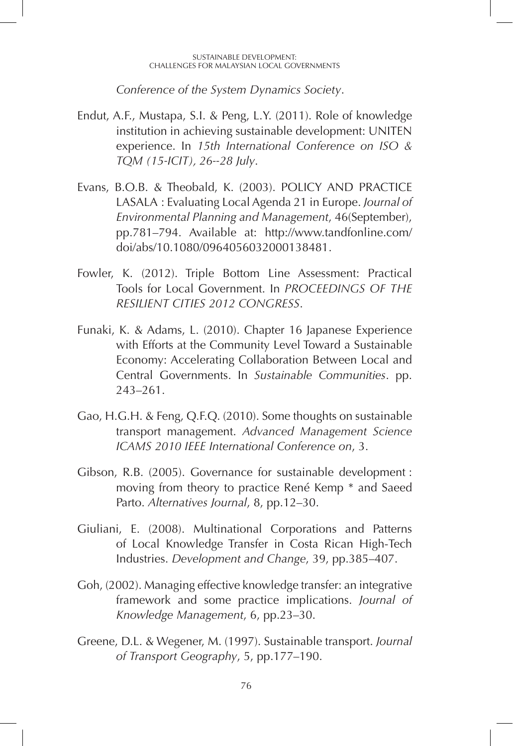#### SUSTAINABLE DEVELOPMENT: CHALLENGES FOR MALAYSIAN LOCAL GOVERNMENTS

*Conference of the System Dynamics Society*.

- Endut, A.F., Mustapa, S.I. & Peng, L.Y. (2011). Role of knowledge institution in achieving sustainable development: UNITEN experience. In *15th International Conference on ISO & TQM (15-ICIT), 26--28 July*.
- Evans, B.O.B. & Theobald, K. (2003). POLICY AND PRACTICE LASALA : Evaluating Local Agenda 21 in Europe. *Journal of Environmental Planning and Management*, 46(September), pp.781–794. Available at: http://www.tandfonline.com/ doi/abs/10.1080/0964056032000138481.
- Fowler, K. (2012). Triple Bottom Line Assessment: Practical Tools for Local Government. In *PROCEEDINGS OF THE RESILIENT CITIES 2012 CONGRESS*.
- Funaki, K. & Adams, L. (2010). Chapter 16 Japanese Experience with Efforts at the Community Level Toward a Sustainable Economy: Accelerating Collaboration Between Local and Central Governments. In *Sustainable Communities*. pp. 243–261.
- Gao, H.G.H. & Feng, Q.F.Q. (2010). Some thoughts on sustainable transport management. *Advanced Management Science ICAMS 2010 IEEE International Conference on*, 3.
- Gibson, R.B. (2005). Governance for sustainable development : moving from theory to practice René Kemp \* and Saeed Parto. *Alternatives Journal*, 8, pp.12–30.
- Giuliani, E. (2008). Multinational Corporations and Patterns of Local Knowledge Transfer in Costa Rican High-Tech Industries. *Development and Change*, 39, pp.385–407.
- Goh, (2002). Managing effective knowledge transfer: an integrative framework and some practice implications. *Journal of Knowledge Management*, 6, pp.23–30.
- Greene, D.L. & Wegener, M. (1997). Sustainable transport. *Journal of Transport Geography*, 5, pp.177–190.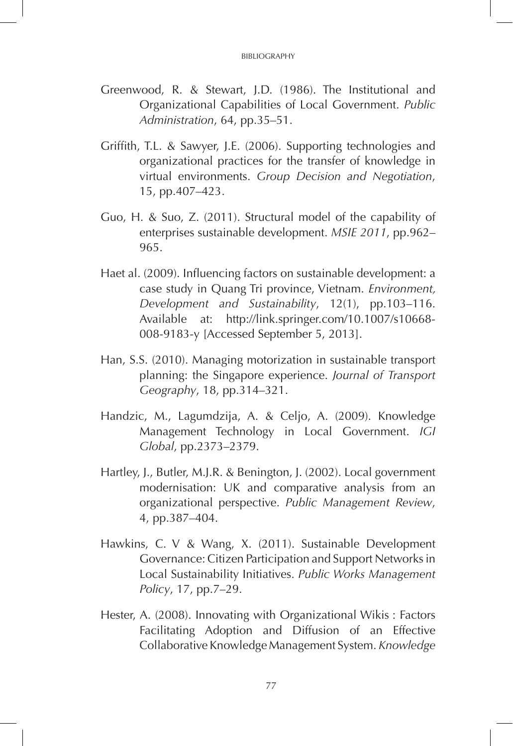- Greenwood, R. & Stewart, J.D. (1986). The Institutional and Organizational Capabilities of Local Government. *Public Administration*, 64, pp.35–51.
- Griffith, T.L. & Sawyer, J.E. (2006). Supporting technologies and organizational practices for the transfer of knowledge in virtual environments. *Group Decision and Negotiation*, 15, pp.407–423.
- Guo, H. & Suo, Z. (2011). Structural model of the capability of enterprises sustainable development. *MSIE 2011*, pp.962– 965.
- Haet al. (2009). Influencing factors on sustainable development: a case study in Quang Tri province, Vietnam. *Environment, Development and Sustainability*, 12(1), pp.103–116. Available at: http://link.springer.com/10.1007/s10668- 008-9183-y [Accessed September 5, 2013].
- Han, S.S. (2010). Managing motorization in sustainable transport planning: the Singapore experience. *Journal of Transport Geography*, 18, pp.314–321.
- Handzic, M., Lagumdzija, A. & Celjo, A. (2009). Knowledge Management Technology in Local Government. *IGI Global*, pp.2373–2379.
- Hartley, J., Butler, M.J.R. & Benington, J. (2002). Local government modernisation: UK and comparative analysis from an organizational perspective. *Public Management Review*, 4, pp.387–404.
- Hawkins, C. V & Wang, X. (2011). Sustainable Development Governance: Citizen Participation and Support Networks in Local Sustainability Initiatives. *Public Works Management Policy*, 17, pp.7–29.
- Hester, A. (2008). Innovating with Organizational Wikis : Factors Facilitating Adoption and Diffusion of an Effective Collaborative Knowledge Management System. *Knowledge*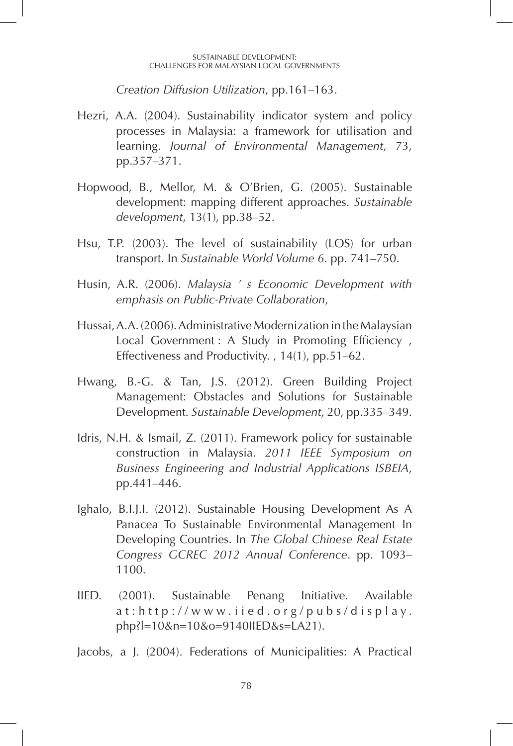#### SUSTAINABLE DEVELOPMENT: CHALLENGES FOR MALAYSIAN LOCAL GOVERNMENTS

*Creation Diffusion Utilization*, pp.161–163.

- Hezri, A.A. (2004). Sustainability indicator system and policy processes in Malaysia: a framework for utilisation and learning. *Journal of Environmental Management*, 73, pp.357–371.
- Hopwood, B., Mellor, M. & O'Brien, G. (2005). Sustainable development: mapping different approaches. *Sustainable development*, 13(1), pp.38–52.
- Hsu, T.P. (2003). The level of sustainability (LOS) for urban transport. In *Sustainable World Volume 6*. pp. 741–750.
- Husin, A.R. (2006). *Malaysia ' s Economic Development with emphasis on Public-Private Collaboration*,
- Hussai, A.A. (2006). Administrative Modernization in the Malaysian Local Government : A Study in Promoting Efficiency, Effectiveness and Productivity. , 14(1), pp.51–62.
- Hwang, B.-G. & Tan, J.S. (2012). Green Building Project Management: Obstacles and Solutions for Sustainable Development. *Sustainable Development*, 20, pp.335–349.
- Idris, N.H. & Ismail, Z. (2011). Framework policy for sustainable construction in Malaysia. *2011 IEEE Symposium on Business Engineering and Industrial Applications ISBEIA*, pp.441–446.
- Ighalo, B.I.J.I. (2012). Sustainable Housing Development As A Panacea To Sustainable Environmental Management In Developing Countries. In *The Global Chinese Real Estate Congress GCREC 2012 Annual Conference*. pp. 1093– 1100.
- IIED. (2001). Sustainable Penang Initiative. Available at:http://www.iied.org/pubs/display. php?l=10&n=10&o=9140IIED&s=LA21).

Jacobs, a J. (2004). Federations of Municipalities: A Practical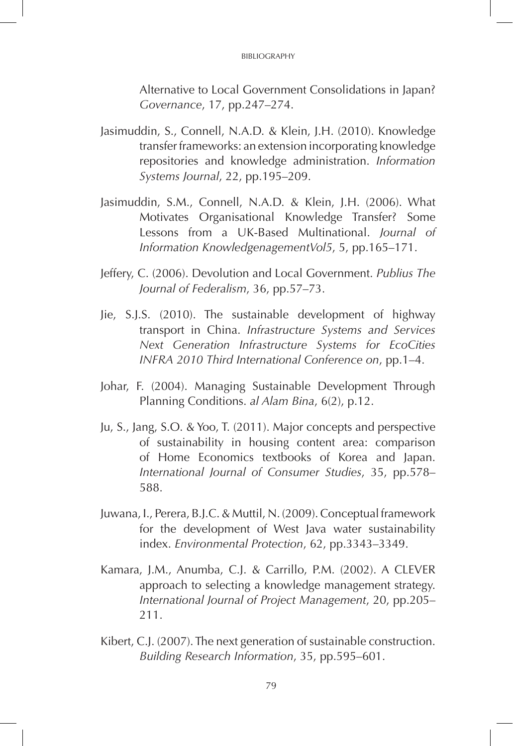Alternative to Local Government Consolidations in Japan? *Governance*, 17, pp.247–274.

- Jasimuddin, S., Connell, N.A.D. & Klein, J.H. (2010). Knowledge transfer frameworks: an extension incorporating knowledge repositories and knowledge administration. *Information Systems Journal*, 22, pp.195–209.
- Jasimuddin, S.M., Connell, N.A.D. & Klein, J.H. (2006). What Motivates Organisational Knowledge Transfer? Some Lessons from a UK-Based Multinational. *Journal of Information KnowledgenagementVol5*, 5, pp.165–171.
- Jeffery, C. (2006). Devolution and Local Government. *Publius The Journal of Federalism*, 36, pp.57–73.
- Jie, S.J.S. (2010). The sustainable development of highway transport in China. *Infrastructure Systems and Services Next Generation Infrastructure Systems for EcoCities INFRA 2010 Third International Conference on*, pp.1–4.
- Johar, F. (2004). Managing Sustainable Development Through Planning Conditions. *al Alam Bina*, 6(2), p.12.
- Ju, S., Jang, S.O. & Yoo, T. (2011). Major concepts and perspective of sustainability in housing content area: comparison of Home Economics textbooks of Korea and Japan. *International Journal of Consumer Studies*, 35, pp.578– 588.
- Juwana, I., Perera, B.J.C. & Muttil, N. (2009). Conceptual framework for the development of West Java water sustainability index. *Environmental Protection*, 62, pp.3343–3349.
- Kamara, J.M., Anumba, C.J. & Carrillo, P.M. (2002). A CLEVER approach to selecting a knowledge management strategy. *International Journal of Project Management*, 20, pp.205– 211.
- Kibert, C.J. (2007). The next generation of sustainable construction. *Building Research Information*, 35, pp.595–601.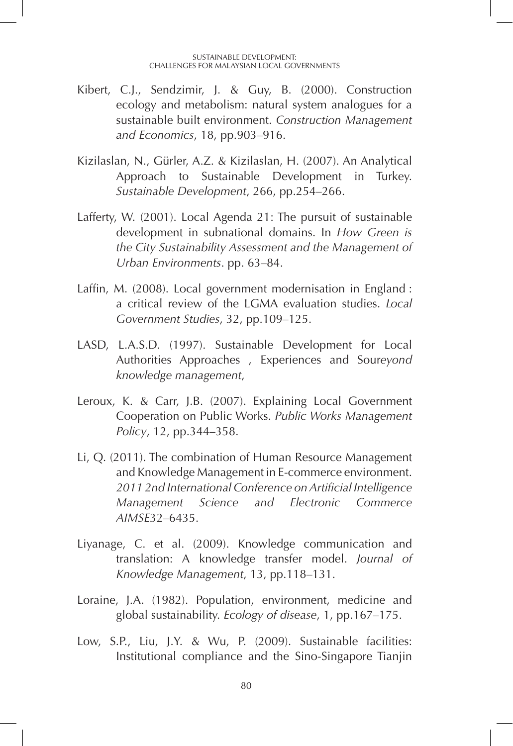- Kibert, C.J., Sendzimir, J. & Guy, B. (2000). Construction ecology and metabolism: natural system analogues for a sustainable built environment. *Construction Management and Economics*, 18, pp.903–916.
- Kizilaslan, N., Gürler, A.Z. & Kizilaslan, H. (2007). An Analytical Approach to Sustainable Development in Turkey. *Sustainable Development*, 266, pp.254–266.
- Lafferty, W. (2001). Local Agenda 21: The pursuit of sustainable development in subnational domains. In *How Green is the City Sustainability Assessment and the Management of Urban Environments*. pp. 63–84.
- Laffin, M. (2008). Local government modernisation in England : a critical review of the LGMA evaluation studies. *Local Government Studies*, 32, pp.109–125.
- LASD, L.A.S.D. (1997). Sustainable Development for Local Authorities Approaches , Experiences and Sour*eyond knowledge management*,
- Leroux, K. & Carr, J.B. (2007). Explaining Local Government Cooperation on Public Works. *Public Works Management Policy*, 12, pp.344–358.
- Li, Q. (2011). The combination of Human Resource Management and Knowledge Management in E-commerce environment. *2011 2nd International Conference on Artificial Intelligence Management Science and Electronic Commerce AIMSE*32–6435.
- Liyanage, C. et al. (2009). Knowledge communication and translation: A knowledge transfer model. *Journal of Knowledge Management*, 13, pp.118–131.
- Loraine, J.A. (1982). Population, environment, medicine and global sustainability. *Ecology of disease*, 1, pp.167–175.
- Low, S.P., Liu, J.Y. & Wu, P. (2009). Sustainable facilities: Institutional compliance and the Sino-Singapore Tianjin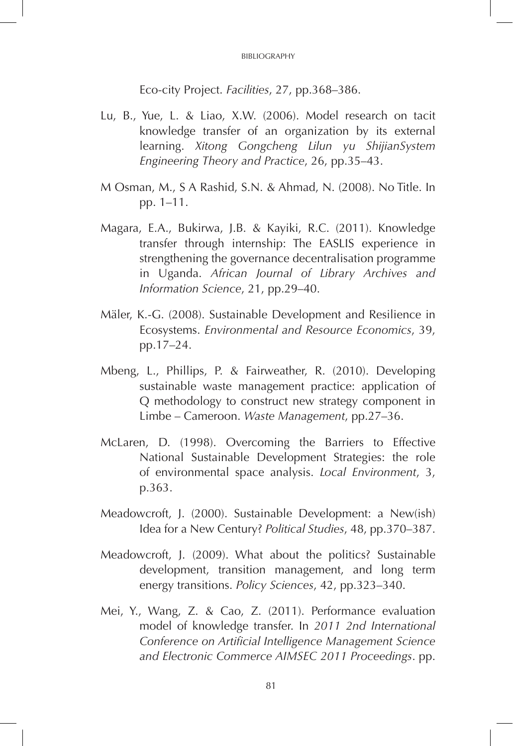Eco-city Project. *Facilities*, 27, pp.368–386.

- Lu, B., Yue, L. & Liao, X.W. (2006). Model research on tacit knowledge transfer of an organization by its external learning. *Xitong Gongcheng Lilun yu ShijianSystem Engineering Theory and Practice*, 26, pp.35–43.
- M Osman, M., S A Rashid, S.N. & Ahmad, N. (2008). No Title. In pp. 1–11.
- Magara, E.A., Bukirwa, J.B. & Kayiki, R.C. (2011). Knowledge transfer through internship: The EASLIS experience in strengthening the governance decentralisation programme in Uganda. *African Journal of Library Archives and Information Science*, 21, pp.29–40.
- Mäler, K.-G. (2008). Sustainable Development and Resilience in Ecosystems. *Environmental and Resource Economics*, 39, pp.17–24.
- Mbeng, L., Phillips, P. & Fairweather, R. (2010). Developing sustainable waste management practice: application of Q methodology to construct new strategy component in Limbe – Cameroon. *Waste Management*, pp.27–36.
- McLaren, D. (1998). Overcoming the Barriers to Effective National Sustainable Development Strategies: the role of environmental space analysis. *Local Environment*, 3, p.363.
- Meadowcroft, J. (2000). Sustainable Development: a New(ish) Idea for a New Century? *Political Studies*, 48, pp.370–387.
- Meadowcroft, J. (2009). What about the politics? Sustainable development, transition management, and long term energy transitions. *Policy Sciences*, 42, pp.323–340.
- Mei, Y., Wang, Z. & Cao, Z. (2011). Performance evaluation model of knowledge transfer. In *2011 2nd International Conference on Artificial Intelligence Management Science and Electronic Commerce AIMSEC 2011 Proceedings*. pp.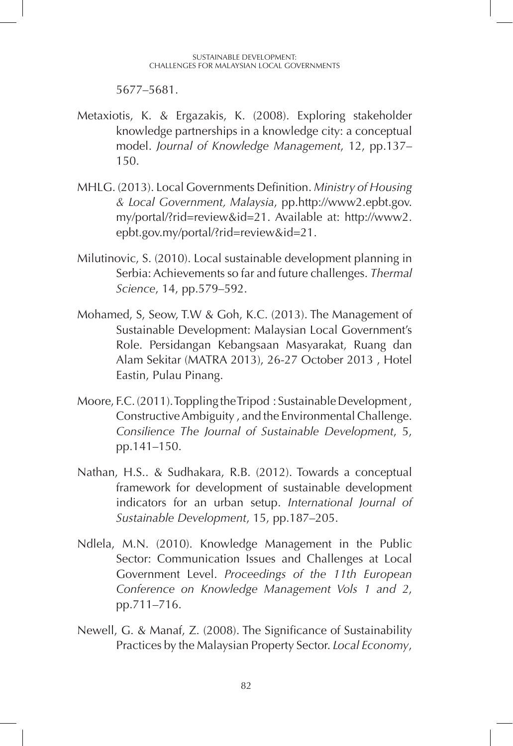5677–5681.

- Metaxiotis, K. & Ergazakis, K. (2008). Exploring stakeholder knowledge partnerships in a knowledge city: a conceptual model. *Journal of Knowledge Management*, 12, pp.137– 150.
- MHLG. (2013). Local Governments Definition. *Ministry of Housing & Local Government, Malaysia*, pp.http://www2.epbt.gov. my/portal/?rid=review&id=21. Available at: http://www2. epbt.gov.my/portal/?rid=review&id=21.
- Milutinovic, S. (2010). Local sustainable development planning in Serbia: Achievements so far and future challenges. *Thermal Science*, 14, pp.579–592.
- Mohamed, S, Seow, T.W & Goh, K.C. (2013). The Management of Sustainable Development: Malaysian Local Government's Role. Persidangan Kebangsaan Masyarakat, Ruang dan Alam Sekitar (MATRA 2013), 26-27 October 2013 , Hotel Eastin, Pulau Pinang.
- Moore, F.C. (2011). Toppling the Tripod : Sustainable Development , Constructive Ambiguity , and the Environmental Challenge. *Consilience The Journal of Sustainable Development*, 5, pp.141–150.
- Nathan, H.S.. & Sudhakara, R.B. (2012). Towards a conceptual framework for development of sustainable development indicators for an urban setup. *International Journal of Sustainable Development*, 15, pp.187–205.
- Ndlela, M.N. (2010). Knowledge Management in the Public Sector: Communication Issues and Challenges at Local Government Level. *Proceedings of the 11th European Conference on Knowledge Management Vols 1 and 2*, pp.711–716.
- Newell, G. & Manaf, Z. (2008). The Significance of Sustainability Practices by the Malaysian Property Sector. *Local Economy*,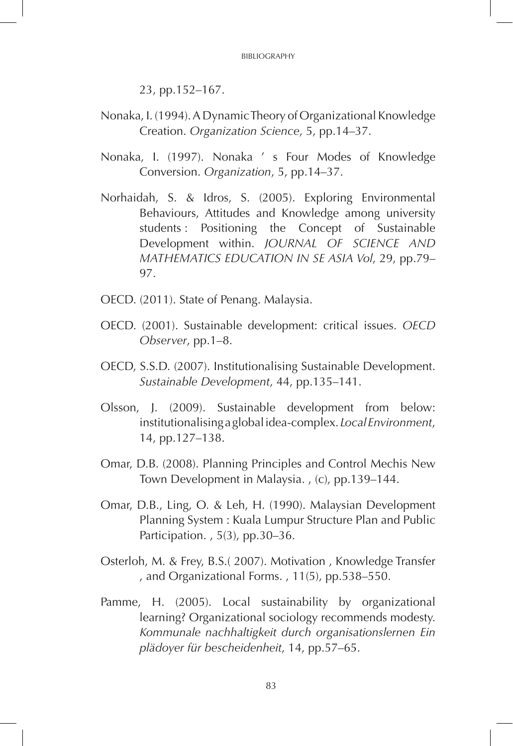BIBLIOGRAPHY

23, pp.152–167.

- Nonaka, I. (1994). A Dynamic Theory of Organizational Knowledge Creation. *Organization Science*, 5, pp.14–37.
- Nonaka, I. (1997). Nonaka ' s Four Modes of Knowledge Conversion. *Organization*, 5, pp.14–37.
- Norhaidah, S. & Idros, S. (2005). Exploring Environmental Behaviours, Attitudes and Knowledge among university students : Positioning the Concept of Sustainable Development within. *JOURNAL OF SCIENCE AND MATHEMATICS EDUCATION IN SE ASIA Vol*, 29, pp.79– 97.
- OECD. (2011). State of Penang. Malaysia.
- OECD. (2001). Sustainable development: critical issues. *OECD Observer*, pp.1–8.
- OECD, S.S.D. (2007). Institutionalising Sustainable Development. *Sustainable Development*, 44, pp.135–141.
- Olsson, J. (2009). Sustainable development from below: institutionalising a global idea-complex. *Local Environment*, 14, pp.127–138.
- Omar, D.B. (2008). Planning Principles and Control Mechis New Town Development in Malaysia. , (c), pp.139–144.
- Omar, D.B., Ling, O. & Leh, H. (1990). Malaysian Development Planning System : Kuala Lumpur Structure Plan and Public Participation. , 5(3), pp.30–36.
- Osterloh, M. & Frey, B.S.( 2007). Motivation , Knowledge Transfer , and Organizational Forms. , 11(5), pp.538–550.
- Pamme, H. (2005). Local sustainability by organizational learning? Organizational sociology recommends modesty. *Kommunale nachhaltigkeit durch organisationslernen Ein plädoyer für bescheidenheit*, 14, pp.57–65.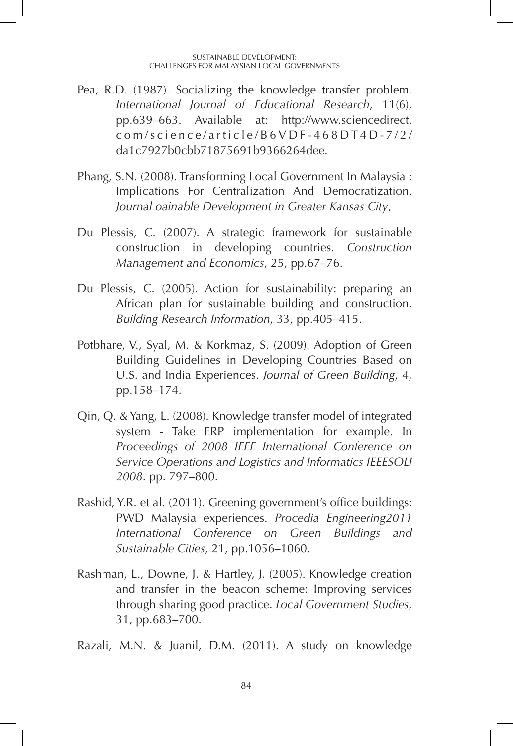- Pea, R.D. (1987). Socializing the knowledge transfer problem. *International Journal of Educational Research*, 11(6), pp.639–663. Available at: http://www.sciencedirect. com/science/article/B6VDF-468DT4D-7/2/ da1c7927b0cbb71875691b9366264dee.
- Phang, S.N. (2008). Transforming Local Government In Malaysia : Implications For Centralization And Democratization. *Journal oainable Development in Greater Kansas City*,
- Du Plessis, C. (2007). A strategic framework for sustainable construction in developing countries. *Construction Management and Economics*, 25, pp.67–76.
- Du Plessis, C. (2005). Action for sustainability: preparing an African plan for sustainable building and construction. *Building Research Information*, 33, pp.405–415.
- Potbhare, V., Syal, M. & Korkmaz, S. (2009). Adoption of Green Building Guidelines in Developing Countries Based on U.S. and India Experiences. *Journal of Green Building*, 4, pp.158–174.
- Qin, Q. & Yang, L. (2008). Knowledge transfer model of integrated system - Take ERP implementation for example. In *Proceedings of 2008 IEEE International Conference on Service Operations and Logistics and Informatics IEEESOLI 2008*. pp. 797–800.
- Rashid, Y.R. et al. (2011). Greening government's office buildings: PWD Malaysia experiences. *Procedia Engineering2011 International Conference on Green Buildings and Sustainable Cities*, 21, pp.1056–1060.
- Rashman, L., Downe, J. & Hartley, J. (2005). Knowledge creation and transfer in the beacon scheme: Improving services through sharing good practice. *Local Government Studies*, 31, pp.683–700.

Razali, M.N. & Juanil, D.M. (2011). A study on knowledge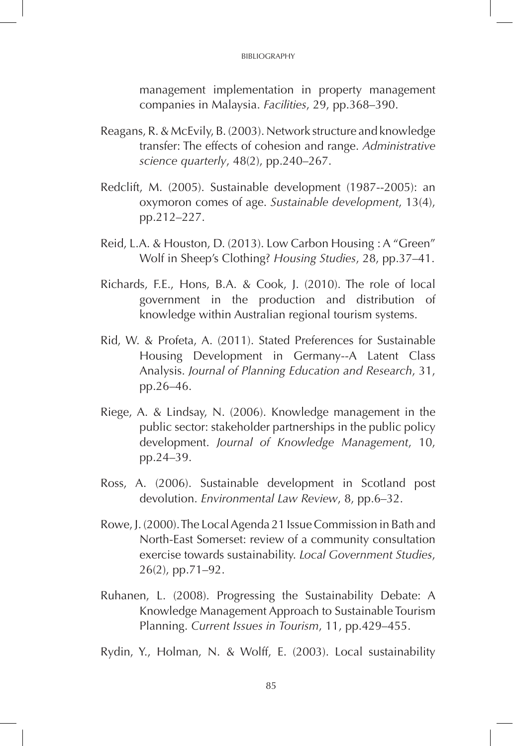#### BIBLIOGRAPHY

management implementation in property management companies in Malaysia. *Facilities*, 29, pp.368–390.

- Reagans, R. & McEvily, B. (2003). Network structure and knowledge transfer: The effects of cohesion and range. *Administrative science quarterly*, 48(2), pp.240–267.
- Redclift, M. (2005). Sustainable development (1987--2005): an oxymoron comes of age. *Sustainable development*, 13(4), pp.212–227.
- Reid, L.A. & Houston, D. (2013). Low Carbon Housing : A "Green" Wolf in Sheep's Clothing? *Housing Studies*, 28, pp.37–41.
- Richards, F.E., Hons, B.A. & Cook, J. (2010). The role of local government in the production and distribution of knowledge within Australian regional tourism systems.
- Rid, W. & Profeta, A. (2011). Stated Preferences for Sustainable Housing Development in Germany--A Latent Class Analysis. *Journal of Planning Education and Research*, 31, pp.26–46.
- Riege, A. & Lindsay, N. (2006). Knowledge management in the public sector: stakeholder partnerships in the public policy development. *Journal of Knowledge Management*, 10, pp.24–39.
- Ross, A. (2006). Sustainable development in Scotland post devolution. *Environmental Law Review*, 8, pp.6–32.
- Rowe, J. (2000). The Local Agenda 21 Issue Commission in Bath and North-East Somerset: review of a community consultation exercise towards sustainability. *Local Government Studies*, 26(2), pp.71–92.
- Ruhanen, L. (2008). Progressing the Sustainability Debate: A Knowledge Management Approach to Sustainable Tourism Planning. *Current Issues in Tourism*, 11, pp.429–455.

Rydin, Y., Holman, N. & Wolff, E. (2003). Local sustainability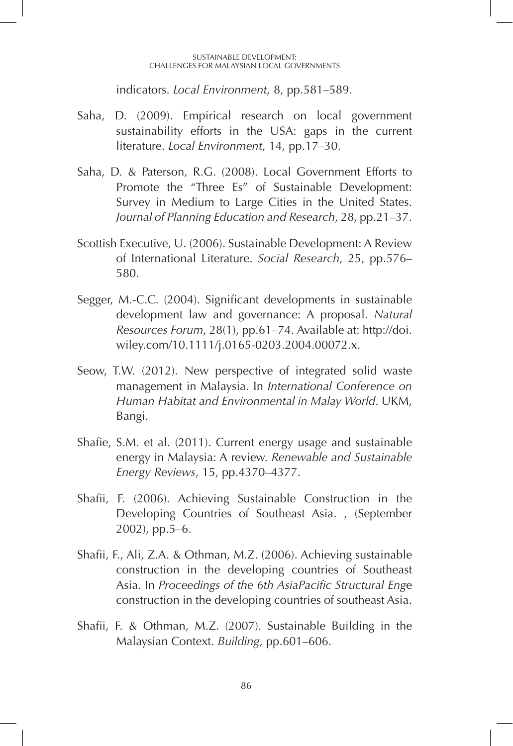#### SUSTAINABLE DEVELOPMENT: CHALLENGES FOR MALAYSIAN LOCAL GOVERNMENTS

indicators. *Local Environment*, 8, pp.581–589.

- Saha, D. (2009). Empirical research on local government sustainability efforts in the USA: gaps in the current literature. *Local Environment*, 14, pp.17–30.
- Saha, D. & Paterson, R.G. (2008). Local Government Efforts to Promote the "Three Es" of Sustainable Development: Survey in Medium to Large Cities in the United States. *Journal of Planning Education and Research*, 28, pp.21–37.
- Scottish Executive, U. (2006). Sustainable Development: A Review of International Literature. *Social Research*, 25, pp.576– 580.
- Segger, M.-C.C. (2004). Significant developments in sustainable development law and governance: A proposal. *Natural Resources Forum*, 28(1), pp.61–74. Available at: http://doi. wiley.com/10.1111/j.0165-0203.2004.00072.x.
- Seow, T.W. (2012). New perspective of integrated solid waste management in Malaysia. In *International Conference on Human Habitat and Environmental in Malay World*. UKM, Bangi.
- Shafie, S.M. et al. (2011). Current energy usage and sustainable energy in Malaysia: A review. *Renewable and Sustainable Energy Reviews*, 15, pp.4370–4377.
- Shafii, F. (2006). Achieving Sustainable Construction in the Developing Countries of Southeast Asia. , (September 2002), pp.5–6.
- Shafii, F., Ali, Z.A. & Othman, M.Z. (2006). Achieving sustainable construction in the developing countries of Southeast Asia. In *Proceedings of the 6th AsiaPacific Structural Eng*e construction in the developing countries of southeast Asia.
- Shafii, F. & Othman, M.Z. (2007). Sustainable Building in the Malaysian Context. *Building*, pp.601–606.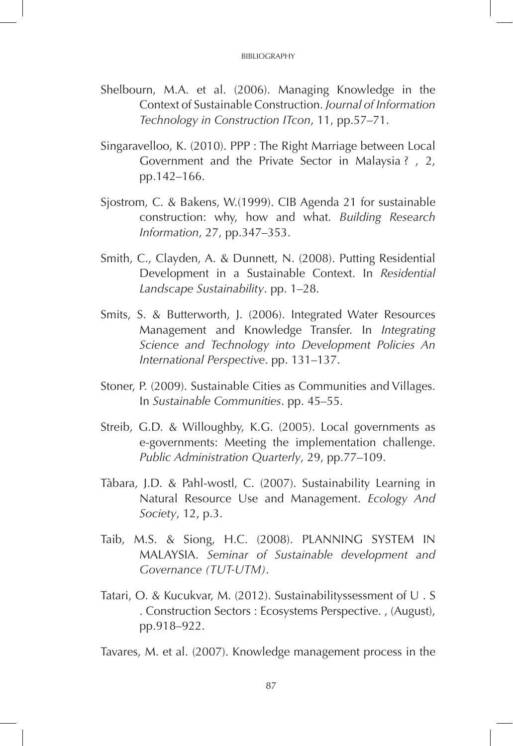- Shelbourn, M.A. et al. (2006). Managing Knowledge in the Context of Sustainable Construction. *Journal of Information Technology in Construction ITcon*, 11, pp.57–71.
- Singaravelloo, K. (2010). PPP : The Right Marriage between Local Government and the Private Sector in Malaysia ? , 2, pp.142–166.
- Sjostrom, C. & Bakens, W.(1999). CIB Agenda 21 for sustainable construction: why, how and what. *Building Research Information*, 27, pp.347–353.
- Smith, C., Clayden, A. & Dunnett, N. (2008). Putting Residential Development in a Sustainable Context. In *Residential Landscape Sustainability*. pp. 1–28.
- Smits, S. & Butterworth, J. (2006). Integrated Water Resources Management and Knowledge Transfer. In *Integrating Science and Technology into Development Policies An International Perspective*. pp. 131–137.
- Stoner, P. (2009). Sustainable Cities as Communities and Villages. In *Sustainable Communities*. pp. 45–55.
- Streib, G.D. & Willoughby, K.G. (2005). Local governments as e-governments: Meeting the implementation challenge. *Public Administration Quarterly*, 29, pp.77–109.
- Tàbara, J.D. & Pahl-wostl, C. (2007). Sustainability Learning in Natural Resource Use and Management. *Ecology And Society*, 12, p.3.
- Taib, M.S. & Siong, H.C. (2008). PLANNING SYSTEM IN MALAYSIA. *Seminar of Sustainable development and Governance (TUT-UTM)*.
- Tatari, O. & Kucukvar, M. (2012). Sustainabilityssessment of U . S . Construction Sectors : Ecosystems Perspective. , (August), pp.918–922.

Tavares, M. et al. (2007). Knowledge management process in the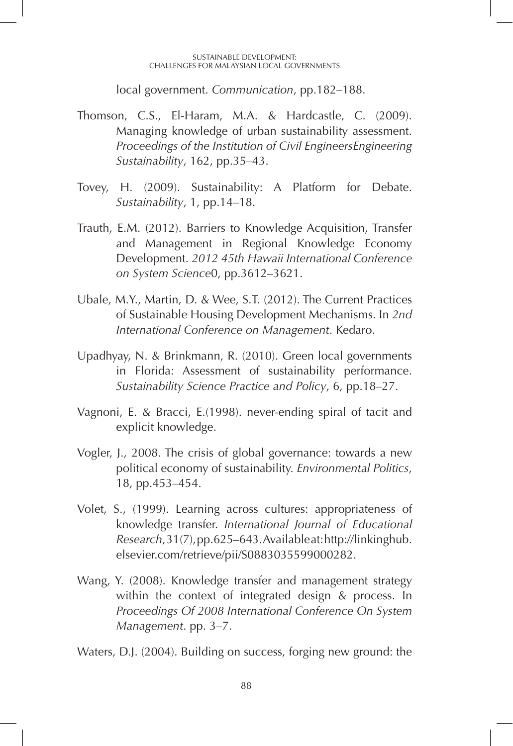#### SUSTAINABLE DEVELOPMENT: CHALLENGES FOR MALAYSIAN LOCAL GOVERNMENTS

local government. *Communication*, pp.182–188.

- Thomson, C.S., El-Haram, M.A. & Hardcastle, C. (2009). Managing knowledge of urban sustainability assessment. *Proceedings of the Institution of Civil EngineersEngineering Sustainability*, 162, pp.35–43.
- Tovey, H. (2009). Sustainability: A Platform for Debate. *Sustainability*, 1, pp.14–18.
- Trauth, E.M. (2012). Barriers to Knowledge Acquisition, Transfer and Management in Regional Knowledge Economy Development. *2012 45th Hawaii International Conference on System Science*0, pp.3612–3621.
- Ubale, M.Y., Martin, D. & Wee, S.T. (2012). The Current Practices of Sustainable Housing Development Mechanisms. In *2nd International Conference on Management*. Kedaro.
- Upadhyay, N. & Brinkmann, R. (2010). Green local governments in Florida: Assessment of sustainability performance. *Sustainability Science Practice and Policy*, 6, pp.18–27.
- Vagnoni, E. & Bracci, E.(1998). never-ending spiral of tacit and explicit knowledge.
- Vogler, J., 2008. The crisis of global governance: towards a new political economy of sustainability. *Environmental Politics*, 18, pp.453–454.
- Volet, S., (1999). Learning across cultures: appropriateness of knowledge transfer. *International Journal of Educational Research*, 31(7), pp.625–643. Available at: http://linkinghub. elsevier.com/retrieve/pii/S0883035599000282.
- Wang, Y. (2008). Knowledge transfer and management strategy within the context of integrated design & process. In *Proceedings Of 2008 International Conference On System Management*. pp. 3–7.

Waters, D.J. (2004). Building on success, forging new ground: the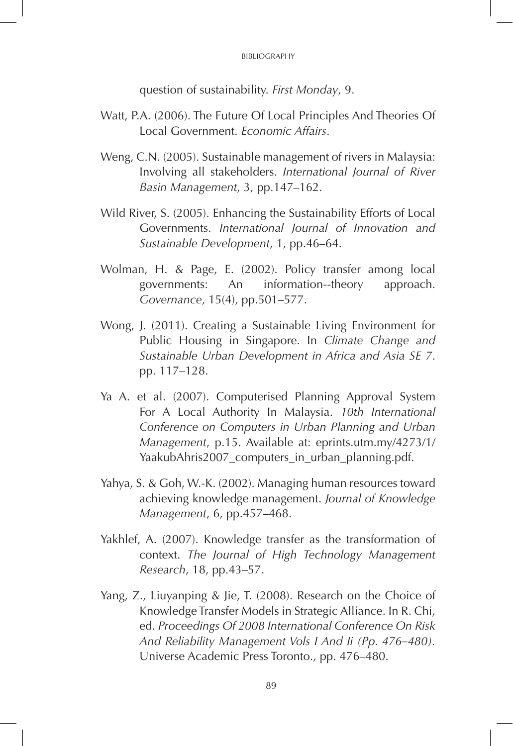question of sustainability. *First Monday*, 9.

- Watt, P.A. (2006). The Future Of Local Principles And Theories Of Local Government. *Economic Affairs*.
- Weng, C.N. (2005). Sustainable management of rivers in Malaysia: Involving all stakeholders. *International Journal of River Basin Management*, 3, pp.147–162.
- Wild River, S. (2005). Enhancing the Sustainability Efforts of Local Governments. *International Journal of Innovation and Sustainable Development*, 1, pp.46–64.
- Wolman, H. & Page, E. (2002). Policy transfer among local governments: An information--theory approach. *Governance*, 15(4), pp.501–577.
- Wong, J. (2011). Creating a Sustainable Living Environment for Public Housing in Singapore. In *Climate Change and Sustainable Urban Development in Africa and Asia SE 7*. pp. 117–128.
- Ya A. et al. (2007). Computerised Planning Approval System For A Local Authority In Malaysia. *10th International Conference on Computers in Urban Planning and Urban Management*, p.15. Available at: eprints.utm.my/4273/1/ YaakubAhris2007\_computers\_in\_urban\_planning.pdf.
- Yahya, S. & Goh, W.-K. (2002). Managing human resources toward achieving knowledge management. *Journal of Knowledge Management*, 6, pp.457–468.
- Yakhlef, A. (2007). Knowledge transfer as the transformation of context. *The Journal of High Technology Management Research*, 18, pp.43–57.
- Yang, Z., Liuyanping & Jie, T. (2008). Research on the Choice of Knowledge Transfer Models in Strategic Alliance. In R. Chi, ed. *Proceedings Of 2008 International Conference On Risk And Reliability Management Vols I And Ii (Pp. 476–480).* Universe Academic Press Toronto., pp. 476–480.